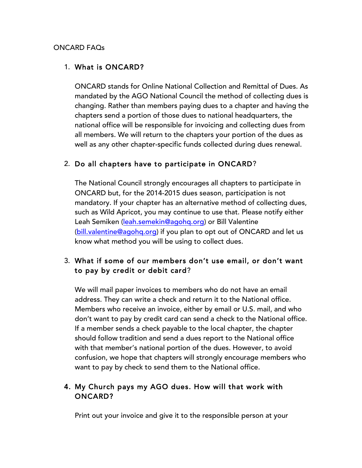### ONCARD FAQs

## 1. What is ONCARD?

ONCARD stands for Online National Collection and Remittal of Dues. As mandated by the AGO National Council the method of collecting dues is changing. Rather than members paying dues to a chapter and having the chapters send a portion of those dues to national headquarters, the national office will be responsible for invoicing and collecting dues from all members. We will return to the chapters your portion of the dues as well as any other chapter-specific funds collected during dues renewal.

## 2. Do all chapters have to participate in ONCARD?

The National Council strongly encourages all chapters to participate in ONCARD but, for the 2014-2015 dues season, participation is not mandatory. If your chapter has an alternative method of collecting dues, such as Wild Apricot, you may continue to use that. Please notify either Leah Semiken (leah.semekin@agohq.org) or Bill Valentine (bill.valentine@agohq.org) if you plan to opt out of ONCARD and let us know what method you will be using to collect dues.

# 3. What if some of our members don't use email, or don't want to pay by credit or debit card?

We will mail paper invoices to members who do not have an email address. They can write a check and return it to the National office. Members who receive an invoice, either by email or U.S. mail, and who don't want to pay by credit card can send a check to the National office. If a member sends a check payable to the local chapter, the chapter should follow tradition and send a dues report to the National office with that member's national portion of the dues. However, to avoid confusion, we hope that chapters will strongly encourage members who want to pay by check to send them to the National office.

## 4. My Church pays my AGO dues. How will that work with ONCARD?

Print out your invoice and give it to the responsible person at your